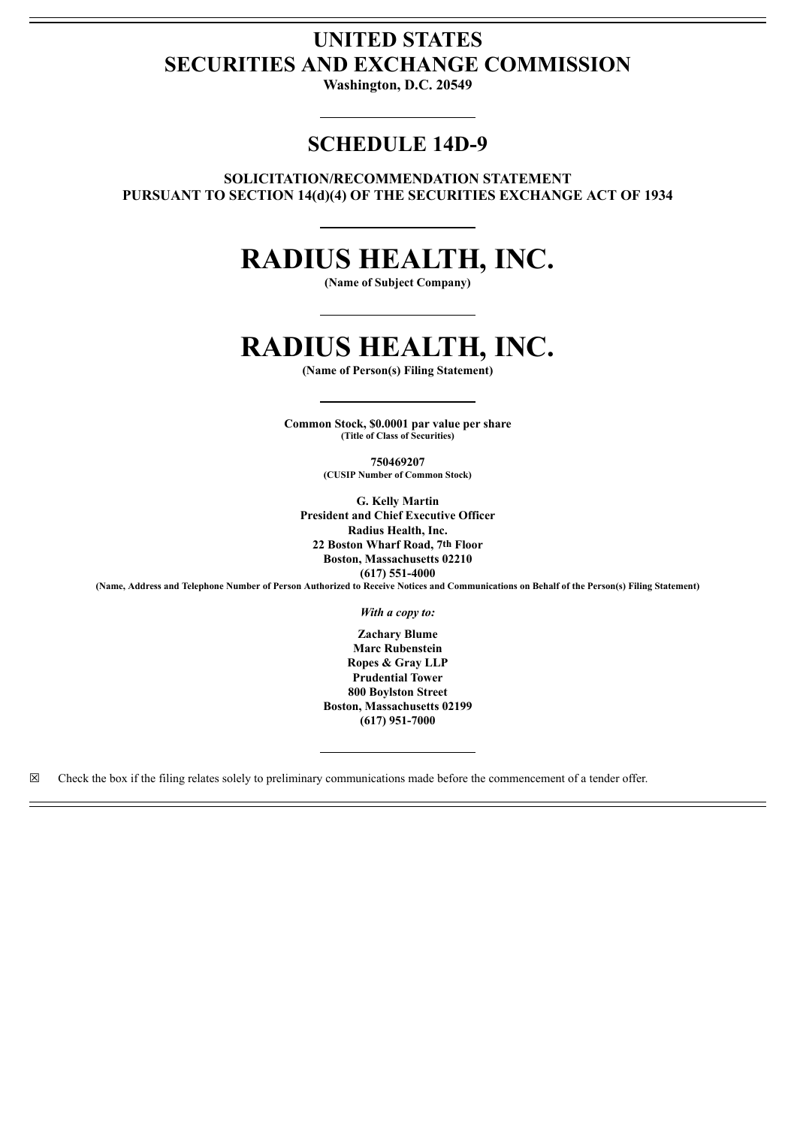## **UNITED STATES SECURITIES AND EXCHANGE COMMISSION**

**Washington, D.C. 20549**

### **SCHEDULE 14D-9**

**SOLICITATION/RECOMMENDATION STATEMENT PURSUANT TO SECTION 14(d)(4) OF THE SECURITIES EXCHANGE ACT OF 1934**

## **RADIUS HEALTH, INC.**

**(Name of Subject Company)**

# **RADIUS HEALTH, INC.**

**(Name of Person(s) Filing Statement)**

**Common Stock, \$0.0001 par value per share (Title of Class of Securities)**

> **750469207 (CUSIP Number of Common Stock)**

**G. Kelly Martin President and Chief Executive Officer Radius Health, Inc. 22 Boston Wharf Road, 7th Floor Boston, Massachusetts 02210 (617) 551-4000** (Name, Address and Telephone Number of Person Authorized to Receive Notices and Communications on Behalf of the Person(s) Filing Statement)

*With a copy to:*

**Zachary Blume Marc Rubenstein Ropes & Gray LLP Prudential Tower 800 Boylston Street Boston, Massachusetts 02199 (617) 951-7000**

 $\boxtimes$  Check the box if the filing relates solely to preliminary communications made before the commencement of a tender offer.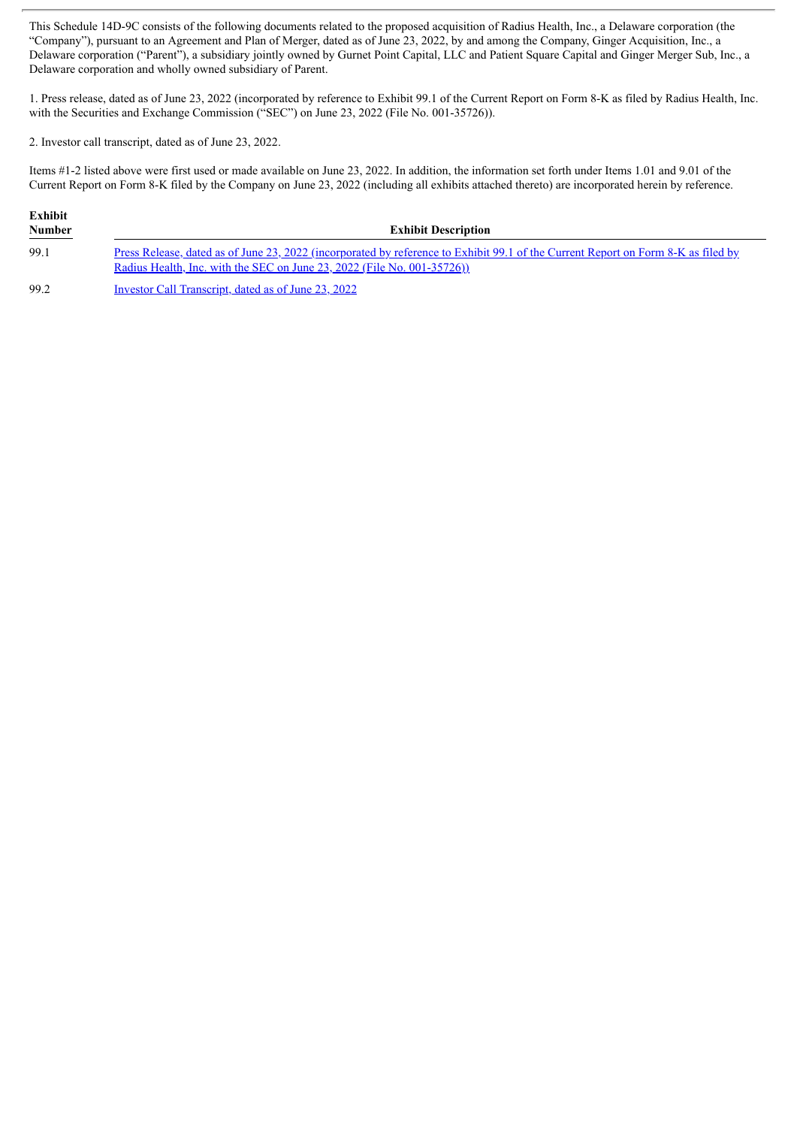This Schedule 14D-9C consists of the following documents related to the proposed acquisition of Radius Health, Inc., a Delaware corporation (the "Company"), pursuant to an Agreement and Plan of Merger, dated as of June 23, 2022, by and among the Company, Ginger Acquisition, Inc., a Delaware corporation ("Parent"), a subsidiary jointly owned by Gurnet Point Capital, LLC and Patient Square Capital and Ginger Merger Sub, Inc., a Delaware corporation and wholly owned subsidiary of Parent.

1. Press release, dated as of June 23, 2022 (incorporated by reference to Exhibit 99.1 of the Current Report on Form 8-K as filed by Radius Health, Inc. with the Securities and Exchange Commission ("SEC") on June 23, 2022 (File No. 001-35726)).

2. Investor call transcript, dated as of June 23, 2022.

Items #1-2 listed above were first used or made available on June 23, 2022. In addition, the information set forth under Items 1.01 and 9.01 of the Current Report on Form 8-K filed by the Company on June 23, 2022 (including all exhibits attached thereto) are incorporated herein by reference.

| <b>Exhibit</b><br><b>Number</b><br>$\sim$ $\sim$ $\sim$ $\sim$ | <b>Exhibit Description</b>                                                                                                                                                                                   |
|----------------------------------------------------------------|--------------------------------------------------------------------------------------------------------------------------------------------------------------------------------------------------------------|
| 99.1                                                           | Press Release, dated as of June 23, 2022 (incorporated by reference to Exhibit 99.1 of the Current Report on Form 8-K as filed by<br>Radius Health, Inc. with the SEC on June 23, 2022 (File No. 001-35726)) |

99.2 Investor Call [Transcript,](#page-2-0) dated as of June 23, 2022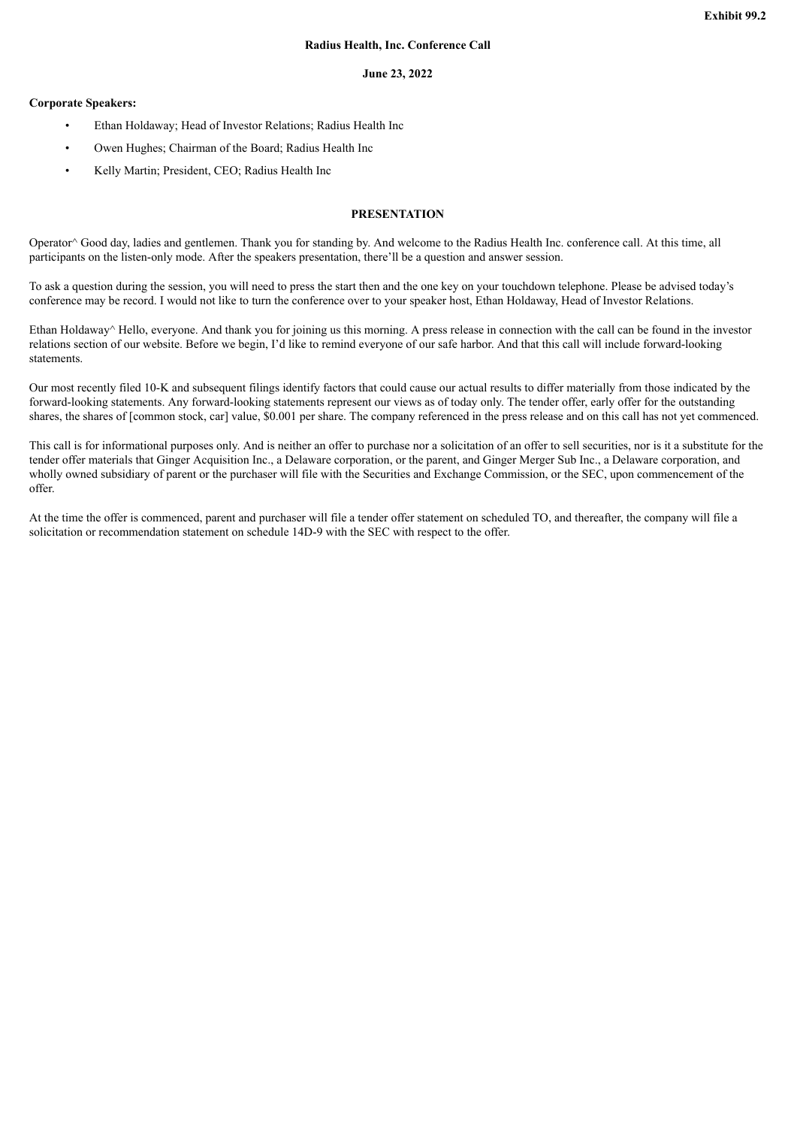#### **June 23, 2022**

#### <span id="page-2-0"></span>**Corporate Speakers:**

- Ethan Holdaway; Head of Investor Relations; Radius Health Inc
- Owen Hughes; Chairman of the Board; Radius Health Inc
- Kelly Martin; President, CEO; Radius Health Inc

#### **PRESENTATION**

Operator^ Good day, ladies and gentlemen. Thank you for standing by. And welcome to the Radius Health Inc. conference call. At this time, all participants on the listen-only mode. After the speakers presentation, there'll be a question and answer session.

To ask a question during the session, you will need to press the start then and the one key on your touchdown telephone. Please be advised today's conference may be record. I would not like to turn the conference over to your speaker host, Ethan Holdaway, Head of Investor Relations.

Ethan Holdaway<sup>^</sup> Hello, everyone. And thank you for joining us this morning. A press release in connection with the call can be found in the investor relations section of our website. Before we begin, I'd like to remind everyone of our safe harbor. And that this call will include forward-looking statements.

Our most recently filed 10-K and subsequent filings identify factors that could cause our actual results to differ materially from those indicated by the forward-looking statements. Any forward-looking statements represent our views as of today only. The tender offer, early offer for the outstanding shares, the shares of [common stock, car] value, \$0.001 per share. The company referenced in the press release and on this call has not yet commenced.

This call is for informational purposes only. And is neither an offer to purchase nor a solicitation of an offer to sell securities, nor is it a substitute for the tender offer materials that Ginger Acquisition Inc., a Delaware corporation, or the parent, and Ginger Merger Sub Inc., a Delaware corporation, and wholly owned subsidiary of parent or the purchaser will file with the Securities and Exchange Commission, or the SEC, upon commencement of the offer.

At the time the offer is commenced, parent and purchaser will file a tender offer statement on scheduled TO, and thereafter, the company will file a solicitation or recommendation statement on schedule 14D-9 with the SEC with respect to the offer.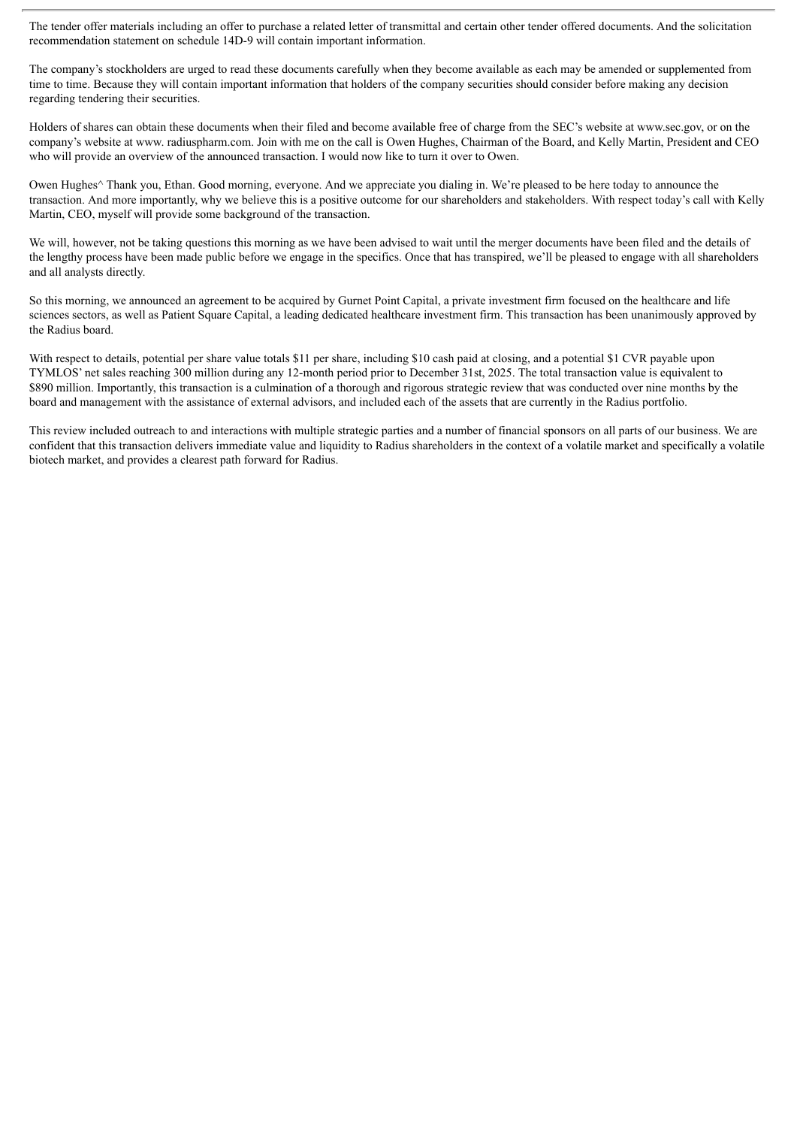The tender offer materials including an offer to purchase a related letter of transmittal and certain other tender offered documents. And the solicitation recommendation statement on schedule 14D-9 will contain important information.

The company's stockholders are urged to read these documents carefully when they become available as each may be amended or supplemented from time to time. Because they will contain important information that holders of the company securities should consider before making any decision regarding tendering their securities.

Holders of shares can obtain these documents when their filed and become available free of charge from the SEC's website at www.sec.gov, or on the company's website at www. radiuspharm.com. Join with me on the call is Owen Hughes, Chairman of the Board, and Kelly Martin, President and CEO who will provide an overview of the announced transaction. I would now like to turn it over to Owen.

Owen Hughes<sup> $\wedge$ </sup> Thank you, Ethan. Good morning, everyone. And we appreciate you dialing in. We're pleased to be here today to announce the transaction. And more importantly, why we believe this is a positive outcome for our shareholders and stakeholders. With respect today's call with Kelly Martin, CEO, myself will provide some background of the transaction.

We will, however, not be taking questions this morning as we have been advised to wait until the merger documents have been filed and the details of the lengthy process have been made public before we engage in the specifics. Once that has transpired, we'll be pleased to engage with all shareholders and all analysts directly.

So this morning, we announced an agreement to be acquired by Gurnet Point Capital, a private investment firm focused on the healthcare and life sciences sectors, as well as Patient Square Capital, a leading dedicated healthcare investment firm. This transaction has been unanimously approved by the Radius board.

With respect to details, potential per share value totals \$11 per share, including \$10 cash paid at closing, and a potential \$1 CVR payable upon TYMLOS' net sales reaching 300 million during any 12-month period prior to December 31st, 2025. The total transaction value is equivalent to \$890 million. Importantly, this transaction is a culmination of a thorough and rigorous strategic review that was conducted over nine months by the board and management with the assistance of external advisors, and included each of the assets that are currently in the Radius portfolio.

This review included outreach to and interactions with multiple strategic parties and a number of financial sponsors on all parts of our business. We are confident that this transaction delivers immediate value and liquidity to Radius shareholders in the context of a volatile market and specifically a volatile biotech market, and provides a clearest path forward for Radius.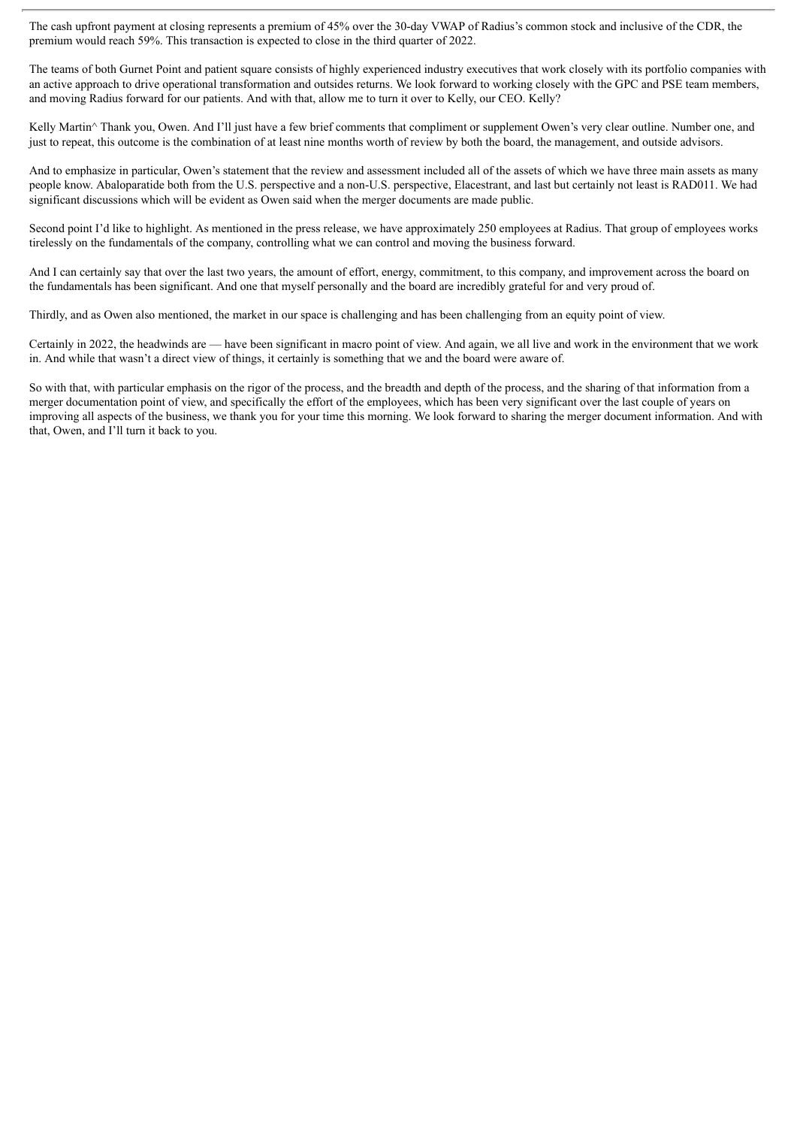The cash upfront payment at closing represents a premium of 45% over the 30-day VWAP of Radius's common stock and inclusive of the CDR, the premium would reach 59%. This transaction is expected to close in the third quarter of 2022.

The teams of both Gurnet Point and patient square consists of highly experienced industry executives that work closely with its portfolio companies with an active approach to drive operational transformation and outsides returns. We look forward to working closely with the GPC and PSE team members, and moving Radius forward for our patients. And with that, allow me to turn it over to Kelly, our CEO. Kelly?

Kelly Martin^ Thank you, Owen. And I'll just have a few brief comments that compliment or supplement Owen's very clear outline. Number one, and just to repeat, this outcome is the combination of at least nine months worth of review by both the board, the management, and outside advisors.

And to emphasize in particular, Owen's statement that the review and assessment included all of the assets of which we have three main assets as many people know. Abaloparatide both from the U.S. perspective and a non-U.S. perspective, Elacestrant, and last but certainly not least is RAD011. We had significant discussions which will be evident as Owen said when the merger documents are made public.

Second point I'd like to highlight. As mentioned in the press release, we have approximately 250 employees at Radius. That group of employees works tirelessly on the fundamentals of the company, controlling what we can control and moving the business forward.

And I can certainly say that over the last two years, the amount of effort, energy, commitment, to this company, and improvement across the board on the fundamentals has been significant. And one that myself personally and the board are incredibly grateful for and very proud of.

Thirdly, and as Owen also mentioned, the market in our space is challenging and has been challenging from an equity point of view.

Certainly in 2022, the headwinds are — have been significant in macro point of view. And again, we all live and work in the environment that we work in. And while that wasn't a direct view of things, it certainly is something that we and the board were aware of.

So with that, with particular emphasis on the rigor of the process, and the breadth and depth of the process, and the sharing of that information from a merger documentation point of view, and specifically the effort of the employees, which has been very significant over the last couple of years on improving all aspects of the business, we thank you for your time this morning. We look forward to sharing the merger document information. And with that, Owen, and I'll turn it back to you.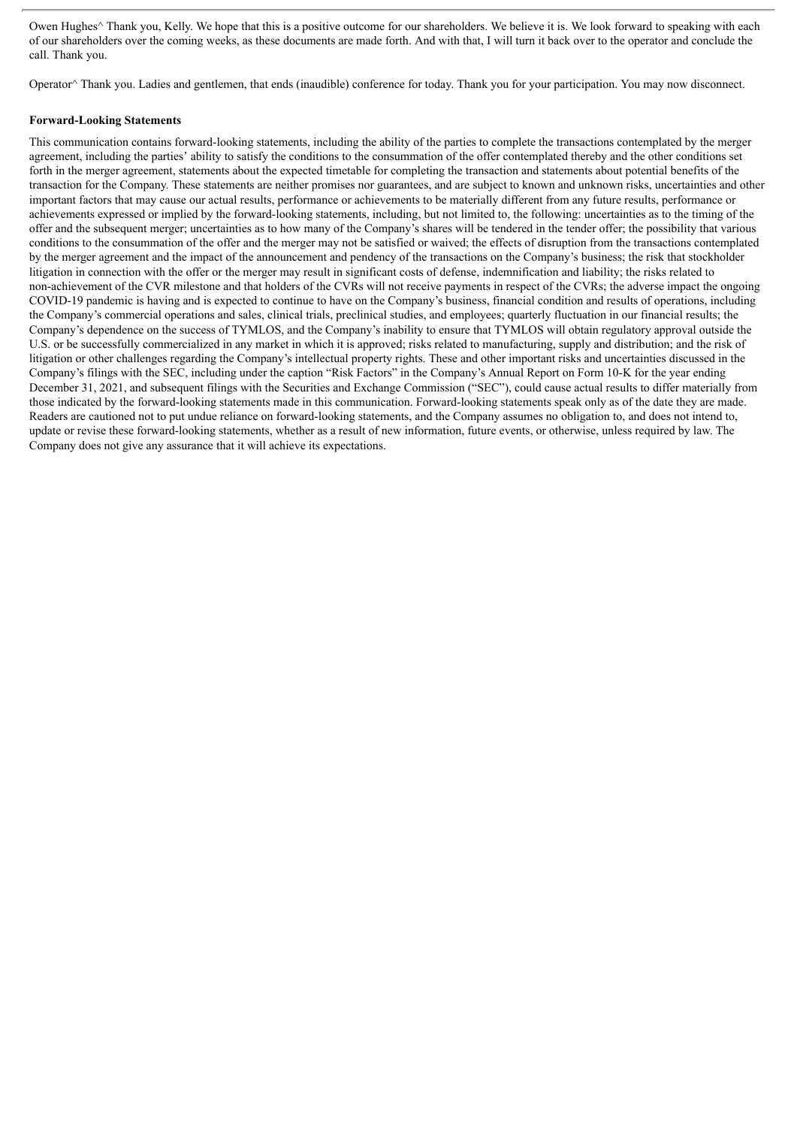Owen Hughes<sup> $\wedge$ </sup> Thank you, Kelly. We hope that this is a positive outcome for our shareholders. We believe it is. We look forward to speaking with each of our shareholders over the coming weeks, as these documents are made forth. And with that, I will turn it back over to the operator and conclude the call. Thank you.

Operator^ Thank you. Ladies and gentlemen, that ends (inaudible) conference for today. Thank you for your participation. You may now disconnect.

#### **Forward-Looking Statements**

This communication contains forward-looking statements, including the ability of the parties to complete the transactions contemplated by the merger agreement, including the parties' ability to satisfy the conditions to the consummation of the offer contemplated thereby and the other conditions set forth in the merger agreement, statements about the expected timetable for completing the transaction and statements about potential benefits of the transaction for the Company. These statements are neither promises nor guarantees, and are subject to known and unknown risks, uncertainties and other important factors that may cause our actual results, performance or achievements to be materially different from any future results, performance or achievements expressed or implied by the forward-looking statements, including, but not limited to, the following: uncertainties as to the timing of the offer and the subsequent merger; uncertainties as to how many of the Company's shares will be tendered in the tender offer; the possibility that various conditions to the consummation of the offer and the merger may not be satisfied or waived; the effects of disruption from the transactions contemplated by the merger agreement and the impact of the announcement and pendency of the transactions on the Company's business; the risk that stockholder litigation in connection with the offer or the merger may result in significant costs of defense, indemnification and liability; the risks related to non-achievement of the CVR milestone and that holders of the CVRs will not receive payments in respect of the CVRs; the adverse impact the ongoing COVID-19 pandemic is having and is expected to continue to have on the Company's business, financial condition and results of operations, including the Company's commercial operations and sales, clinical trials, preclinical studies, and employees; quarterly fluctuation in our financial results; the Company's dependence on the success of TYMLOS, and the Company's inability to ensure that TYMLOS will obtain regulatory approval outside the U.S. or be successfully commercialized in any market in which it is approved; risks related to manufacturing, supply and distribution; and the risk of litigation or other challenges regarding the Company's intellectual property rights. These and other important risks and uncertainties discussed in the Company's filings with the SEC, including under the caption "Risk Factors" in the Company's Annual Report on Form 10-K for the year ending December 31, 2021, and subsequent filings with the Securities and Exchange Commission ("SEC"), could cause actual results to differ materially from those indicated by the forward-looking statements made in this communication. Forward-looking statements speak only as of the date they are made. Readers are cautioned not to put undue reliance on forward-looking statements, and the Company assumes no obligation to, and does not intend to, update or revise these forward-looking statements, whether as a result of new information, future events, or otherwise, unless required by law. The Company does not give any assurance that it will achieve its expectations.